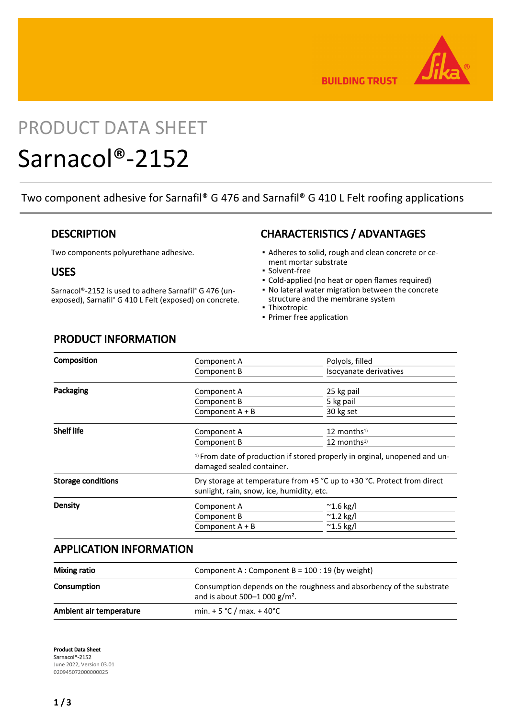

**BUILDING TRUST** 

# PRODUCT DATA SHEET

# Sarnacol®-2152

Two component adhesive for Sarnafil® G 476 and Sarnafil® G 410 L Felt roofing applications

### **DESCRIPTION**

Two components polyurethane adhesive.

### USES

Sarnacol®-2152 is used to adhere Sarnafil® G 476 (unexposed), Sarnafil® G 410 L Felt (exposed) on concrete.

# CHARACTERISTICS / ADVANTAGES

- Adheres to solid, rough and clean concrete or ce-▪ ment mortar substrate
- Solvent-free
- Cold-applied (no heat or open flames required)
- No lateral water migration between the concrete structure and the membrane system
- Thixotropic
- Primer free application

## PRODUCT INFORMATION

| Composition               | Component A                                                                                                          | Polyols, filled           |
|---------------------------|----------------------------------------------------------------------------------------------------------------------|---------------------------|
|                           | Component B                                                                                                          | Isocyanate derivatives    |
| Packaging                 | Component A                                                                                                          | 25 kg pail                |
|                           | Component B                                                                                                          | 5 kg pail                 |
|                           | Component $A + B$                                                                                                    | 30 kg set                 |
| <b>Shelf life</b>         | Component A                                                                                                          | $12$ months <sup>1)</sup> |
|                           | Component B                                                                                                          | $12$ months <sup>1)</sup> |
|                           | <sup>1)</sup> From date of production if stored properly in orginal, unopened and un-<br>damaged sealed container.   |                           |
| <b>Storage conditions</b> | Dry storage at temperature from +5 °C up to +30 °C. Protect from direct<br>sunlight, rain, snow, ice, humidity, etc. |                           |
| <b>Density</b>            | Component A                                                                                                          | $^{\sim}$ 1.6 kg/l        |
|                           | Component B                                                                                                          | $^{\sim}$ 1.2 kg/l        |
|                           | Component $A + B$                                                                                                    | $^{\sim}$ 1.5 kg/l        |

## APPLICATION INFORMATION

| <b>Mixing ratio</b>     | Component A : Component B = $100:19$ (by weight)                                                         |  |
|-------------------------|----------------------------------------------------------------------------------------------------------|--|
| Consumption             | Consumption depends on the roughness and absorbency of the substrate<br>and is about 500-1 000 $g/m^2$ . |  |
| Ambient air temperature | min. $+5 °C$ / max. $+40 °C$                                                                             |  |

Product Data Sheet Sarnacol®-2152 June 2022, Version 03.01 020945072000000025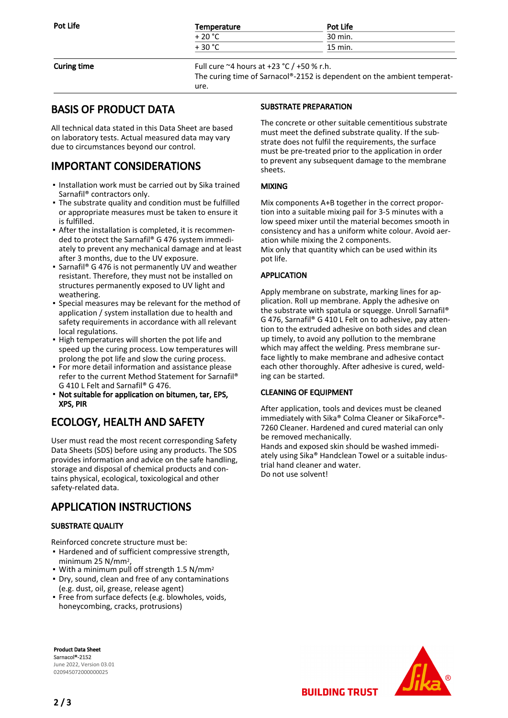| Pot Life           | Temperature                                        | Pot Life |  |
|--------------------|----------------------------------------------------|----------|--|
|                    | $+20 °C$                                           | 30 min.  |  |
|                    | $+30 °C$                                           | 15 min.  |  |
| <b>Curing time</b> | Full cure $\approx$ 4 hours at +23 °C / +50 % r.h. |          |  |

The curing time of Sarnacol®-2152 is dependent on the ambient temperature.

# BASIS OF PRODUCT DATA

All technical data stated in this Data Sheet are based on laboratory tests. Actual measured data may vary due to circumstances beyond our control.

# IMPORTANT CONSIDERATIONS

- Installation work must be carried out by Sika trained Sarnafil® contractors only.
- The substrate quality and condition must be fulfilled or appropriate measures must be taken to ensure it is fulfilled.
- After the installation is completed, it is recommen-▪ ded to protect the Sarnafil® G 476 system immediately to prevent any mechanical damage and at least after 3 months, due to the UV exposure.
- Sarnafil® G 476 is not permanently UV and weather resistant. Therefore, they must not be installed on structures permanently exposed to UV light and weathering.
- **•** Special measures may be relevant for the method of application / system installation due to health and safety requirements in accordance with all relevant local regulations.
- **.** High temperatures will shorten the pot life and speed up the curing process. Low temperatures will prolong the pot life and slow the curing process.
- For more detail information and assistance please refer to the current Method Statement for Sarnafil® G 410 L Felt and Sarnafil® G 476.
- **Not suitable for application on bitumen, tar, EPS,** XPS, PIR

# ECOLOGY, HEALTH AND SAFETY

User must read the most recent corresponding Safety Data Sheets (SDS) before using any products. The SDS provides information and advice on the safe handling, storage and disposal of chemical products and contains physical, ecological, toxicological and other safety-related data.

# APPLICATION INSTRUCTIONS

#### SUBSTRATE QUALITY

Reinforced concrete structure must be:

- **.** Hardened and of sufficient compressive strength, minimum 25 N/mm2,
- . With a minimum pull off strength 1.5 N/mm<sup>2</sup>
- Dry, sound, clean and free of any contaminations (e.g. dust, oil, grease, release agent)
- Free from surface defects (e.g. blowholes, voids, honeycombing, cracks, protrusions)

# SUBSTRATE PREPARATION

The concrete or other suitable cementitious substrate must meet the defined substrate quality. If the substrate does not fulfil the requirements, the surface must be pre-treated prior to the application in order to prevent any subsequent damage to the membrane sheets.

#### MIXING

Mix components A+B together in the correct proportion into a suitable mixing pail for 3-5 minutes with a low speed mixer until the material becomes smooth in consistency and has a uniform white colour. Avoid aeration while mixing the 2 components. Mix only that quantity which can be used within its pot life.

#### APPLICATION

Apply membrane on substrate, marking lines for application. Roll up membrane. Apply the adhesive on the substrate with spatula or squegge. Unroll Sarnafil® G 476, Sarnafil® G 410 L Felt on to adhesive, pay attention to the extruded adhesive on both sides and clean up timely, to avoid any pollution to the membrane which may affect the welding. Press membrane surface lightly to make membrane and adhesive contact each other thoroughly. After adhesive is cured, welding can be started.

#### CLEANING OF EQUIPMENT

After application, tools and devices must be cleaned immediately with Sika® Colma Cleaner or SikaForce®- 7260 Cleaner. Hardened and cured material can only be removed mechanically.

Hands and exposed skin should be washed immediately using Sika® Handclean Towel or a suitable industrial hand cleaner and water. Do not use solvent!





Sarnacol®-2152 June 2022, Version 03.01 020945072000000025

Product Data Sheet

**BUILDING TRUST**